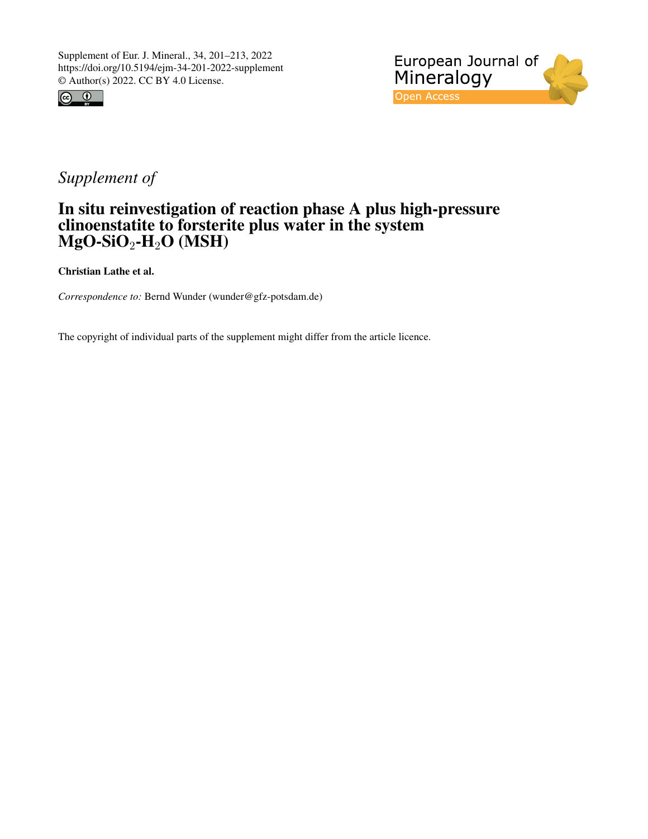



## *Supplement of*

## In situ reinvestigation of reaction phase A plus high-pressure clinoenstatite to forsterite plus water in the system  $\mathbf{MgO}\text{-}\mathbf{SiO}_2\text{-}\mathbf{H}_2\mathbf{O}$  (MSH)

Christian Lathe et al.

*Correspondence to:* Bernd Wunder (wunder@gfz-potsdam.de)

The copyright of individual parts of the supplement might differ from the article licence.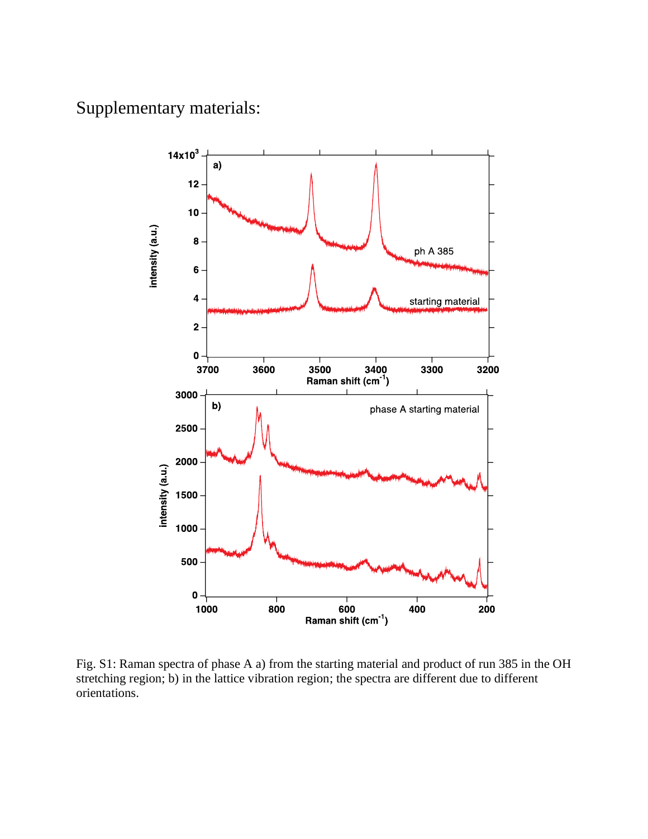Supplementary materials:



Fig. S1: Raman spectra of phase A a) from the starting material and product of run 385 in the OH stretching region; b) in the lattice vibration region; the spectra are different due to different orientations.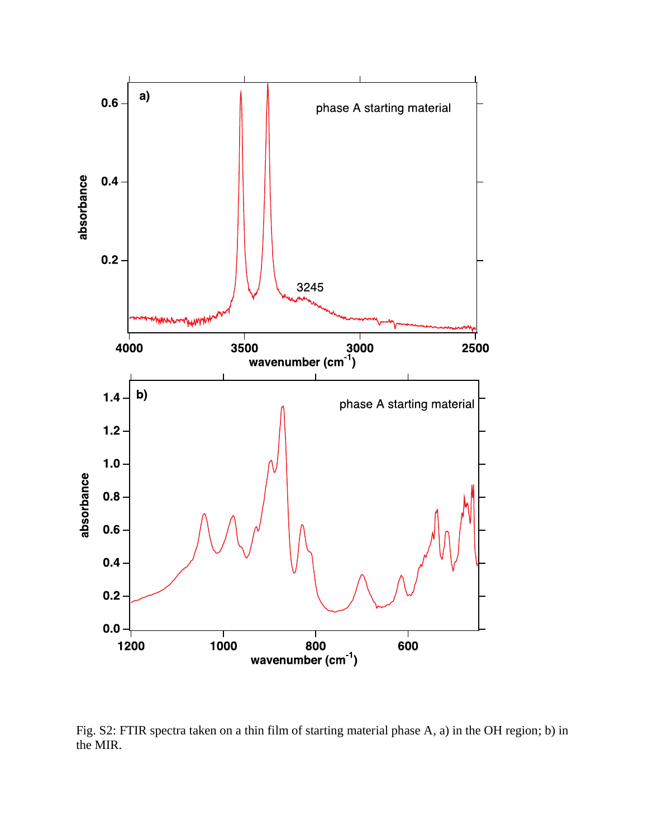

Fig. S2: FTIR spectra taken on a thin film of starting material phase A, a) in the OH region; b) in the MIR.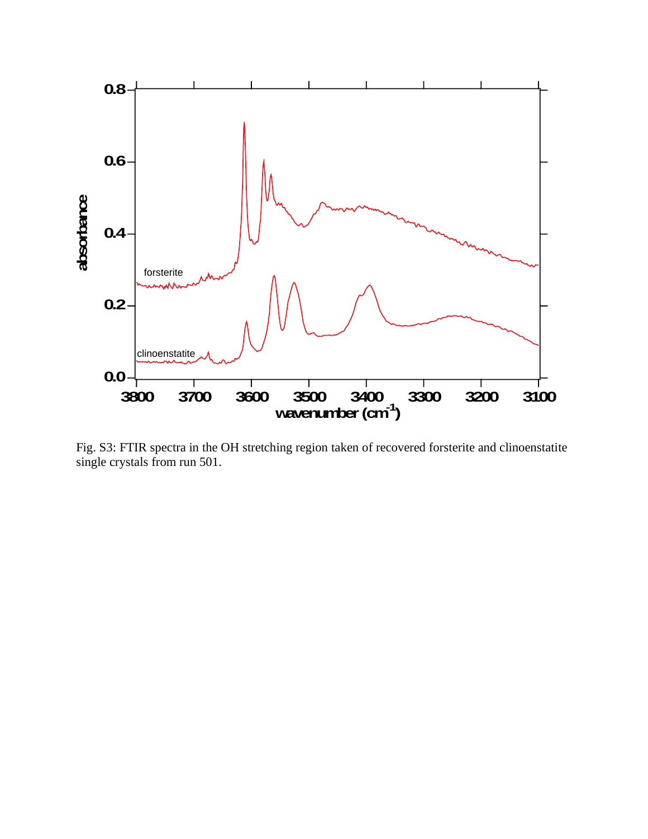

Fig. S3: FTIR spectra in the OH stretching region taken of recovered forsterite and clinoenstatite single crystals from run 501.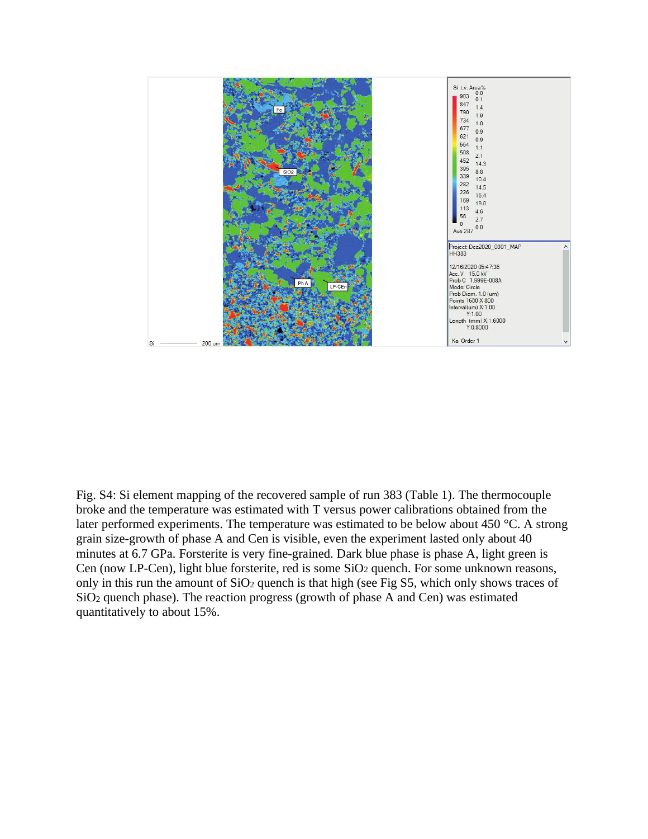

Fig. S4: Si element mapping of the recovered sample of run 383 (Table 1). The thermocouple broke and the temperature was estimated with T versus power calibrations obtained from the later performed experiments. The temperature was estimated to be below about 450 °C. A strong grain size-growth of phase A and Cen is visible, even the experiment lasted only about 40 minutes at 6.7 GPa. Forsterite is very fine-grained. Dark blue phase is phase A, light green is Cen (now LP-Cen), light blue forsterite, red is some  $SiO<sub>2</sub>$  quench. For some unknown reasons, only in this run the amount of  $SiO<sub>2</sub>$  quench is that high (see Fig S5, which only shows traces of SiO<sup>2</sup> quench phase). The reaction progress (growth of phase A and Cen) was estimated quantitatively to about 15%.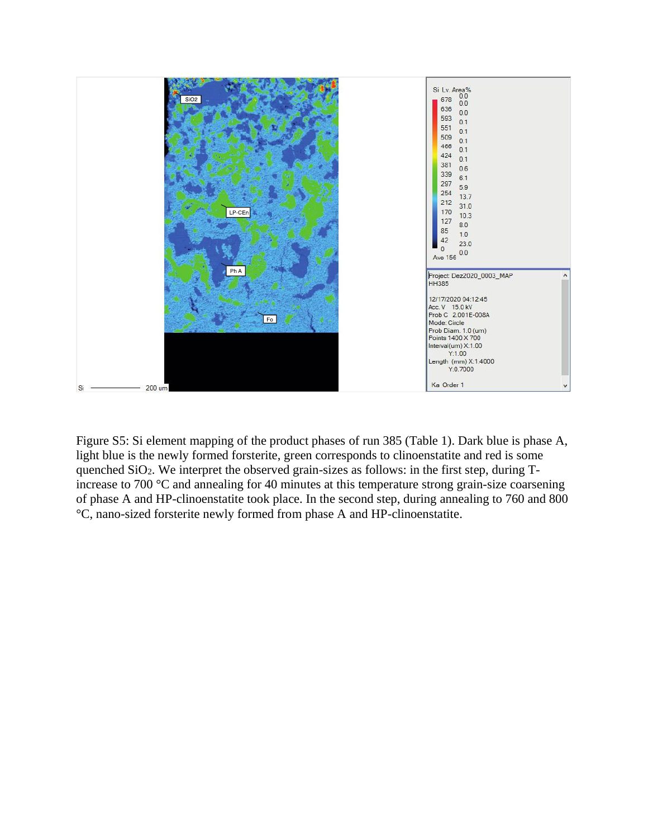

Figure S5: Si element mapping of the product phases of run 385 (Table 1). Dark blue is phase A, light blue is the newly formed forsterite, green corresponds to clinoenstatite and red is some quenched SiO2. We interpret the observed grain-sizes as follows: in the first step, during Tincrease to 700 °C and annealing for 40 minutes at this temperature strong grain-size coarsening of phase A and HP-clinoenstatite took place. In the second step, during annealing to 760 and 800 °C, nano-sized forsterite newly formed from phase A and HP-clinoenstatite.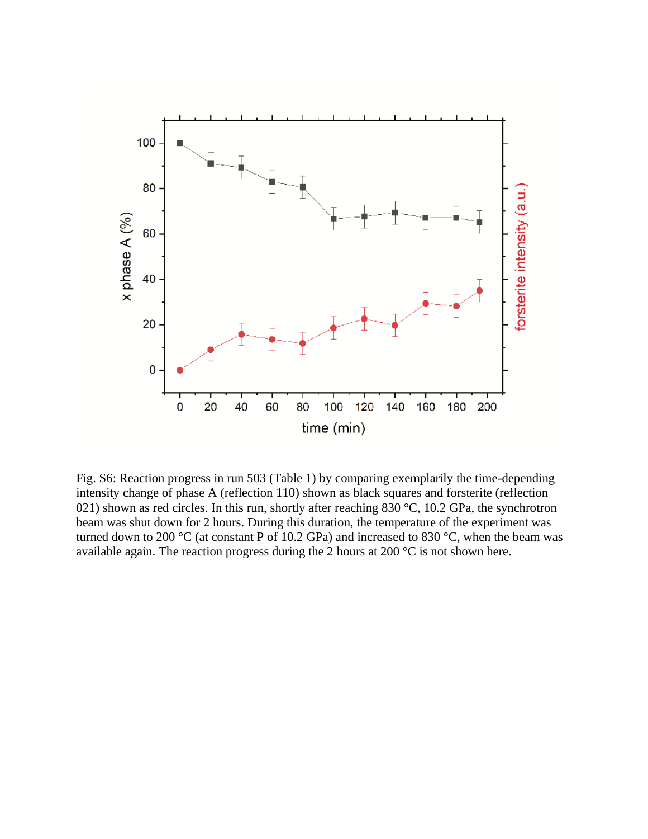

Fig. S6: Reaction progress in run 503 (Table 1) by comparing exemplarily the time-depending intensity change of phase A (reflection 110) shown as black squares and forsterite (reflection 021) shown as red circles. In this run, shortly after reaching 830 °C, 10.2 GPa, the synchrotron beam was shut down for 2 hours. During this duration, the temperature of the experiment was turned down to 200  $\rm{°C}$  (at constant P of 10.2 GPa) and increased to 830  $\rm{°C}$ , when the beam was available again. The reaction progress during the 2 hours at 200 °C is not shown here.